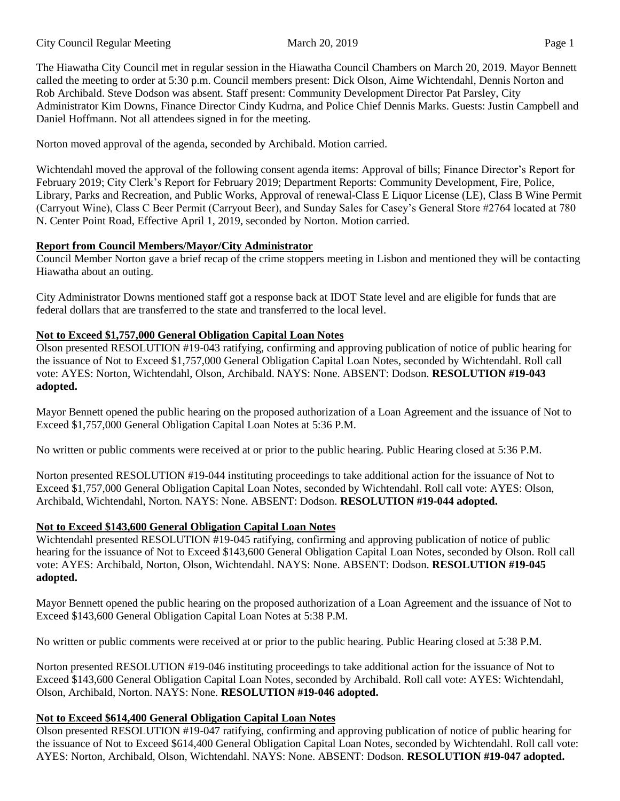The Hiawatha City Council met in regular session in the Hiawatha Council Chambers on March 20, 2019. Mayor Bennett called the meeting to order at 5:30 p.m. Council members present: Dick Olson, Aime Wichtendahl, Dennis Norton and Rob Archibald. Steve Dodson was absent. Staff present: Community Development Director Pat Parsley, City Administrator Kim Downs, Finance Director Cindy Kudrna, and Police Chief Dennis Marks. Guests: Justin Campbell and Daniel Hoffmann. Not all attendees signed in for the meeting.

Norton moved approval of the agenda, seconded by Archibald. Motion carried.

Wichtendahl moved the approval of the following consent agenda items: Approval of bills; Finance Director's Report for February 2019; City Clerk's Report for February 2019; Department Reports: Community Development, Fire, Police, Library, Parks and Recreation, and Public Works, Approval of renewal-Class E Liquor License (LE), Class B Wine Permit (Carryout Wine), Class C Beer Permit (Carryout Beer), and Sunday Sales for Casey's General Store #2764 located at 780 N. Center Point Road, Effective April 1, 2019, seconded by Norton. Motion carried.

# **Report from Council Members/Mayor/City Administrator**

Council Member Norton gave a brief recap of the crime stoppers meeting in Lisbon and mentioned they will be contacting Hiawatha about an outing.

City Administrator Downs mentioned staff got a response back at IDOT State level and are eligible for funds that are federal dollars that are transferred to the state and transferred to the local level.

# **Not to Exceed \$1,757,000 General Obligation Capital Loan Notes**

Olson presented RESOLUTION #19-043 ratifying, confirming and approving publication of notice of public hearing for the issuance of Not to Exceed \$1,757,000 General Obligation Capital Loan Notes, seconded by Wichtendahl. Roll call vote: AYES: Norton, Wichtendahl, Olson, Archibald. NAYS: None. ABSENT: Dodson. **RESOLUTION #19-043 adopted.** 

Mayor Bennett opened the public hearing on the proposed authorization of a Loan Agreement and the issuance of Not to Exceed \$1,757,000 General Obligation Capital Loan Notes at 5:36 P.M.

No written or public comments were received at or prior to the public hearing. Public Hearing closed at 5:36 P.M.

Norton presented RESOLUTION #19-044 instituting proceedings to take additional action for the issuance of Not to Exceed \$1,757,000 General Obligation Capital Loan Notes, seconded by Wichtendahl. Roll call vote: AYES: Olson, Archibald, Wichtendahl, Norton. NAYS: None. ABSENT: Dodson. **RESOLUTION #19-044 adopted.** 

# **Not to Exceed \$143,600 General Obligation Capital Loan Notes**

Wichtendahl presented RESOLUTION #19-045 ratifying, confirming and approving publication of notice of public hearing for the issuance of Not to Exceed \$143,600 General Obligation Capital Loan Notes, seconded by Olson. Roll call vote: AYES: Archibald, Norton, Olson, Wichtendahl. NAYS: None. ABSENT: Dodson. **RESOLUTION #19-045 adopted.** 

Mayor Bennett opened the public hearing on the proposed authorization of a Loan Agreement and the issuance of Not to Exceed \$143,600 General Obligation Capital Loan Notes at 5:38 P.M.

No written or public comments were received at or prior to the public hearing. Public Hearing closed at 5:38 P.M.

Norton presented RESOLUTION #19-046 instituting proceedings to take additional action for the issuance of Not to Exceed \$143,600 General Obligation Capital Loan Notes, seconded by Archibald. Roll call vote: AYES: Wichtendahl, Olson, Archibald, Norton. NAYS: None. **RESOLUTION #19-046 adopted.** 

# **Not to Exceed \$614,400 General Obligation Capital Loan Notes**

Olson presented RESOLUTION #19-047 ratifying, confirming and approving publication of notice of public hearing for the issuance of Not to Exceed \$614,400 General Obligation Capital Loan Notes, seconded by Wichtendahl. Roll call vote: AYES: Norton, Archibald, Olson, Wichtendahl. NAYS: None. ABSENT: Dodson. **RESOLUTION #19-047 adopted.**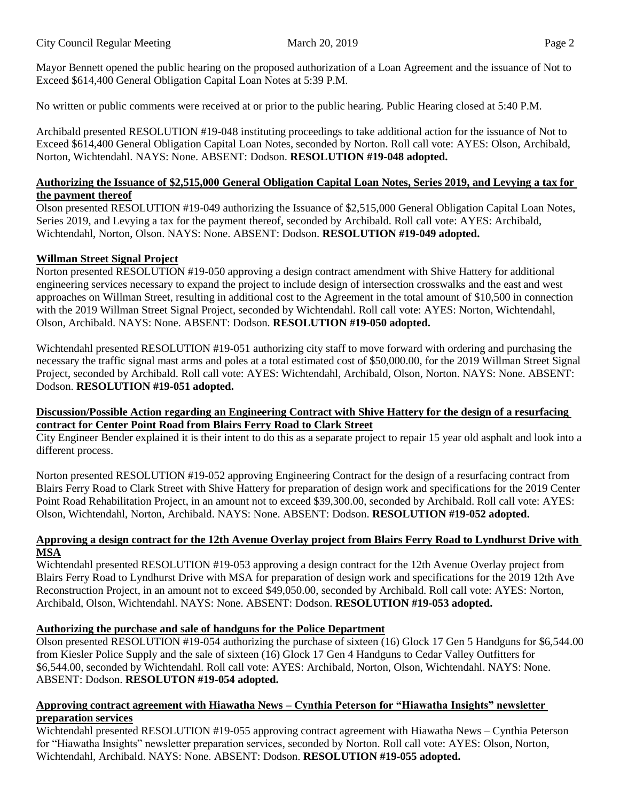Mayor Bennett opened the public hearing on the proposed authorization of a Loan Agreement and the issuance of Not to Exceed \$614,400 General Obligation Capital Loan Notes at 5:39 P.M.

No written or public comments were received at or prior to the public hearing. Public Hearing closed at 5:40 P.M.

Archibald presented RESOLUTION #19-048 instituting proceedings to take additional action for the issuance of Not to Exceed \$614,400 General Obligation Capital Loan Notes, seconded by Norton. Roll call vote: AYES: Olson, Archibald, Norton, Wichtendahl. NAYS: None. ABSENT: Dodson. **RESOLUTION #19-048 adopted.** 

### **Authorizing the Issuance of \$2,515,000 General Obligation Capital Loan Notes, Series 2019, and Levying a tax for the payment thereof**

Olson presented RESOLUTION #19-049 authorizing the Issuance of \$2,515,000 General Obligation Capital Loan Notes, Series 2019, and Levying a tax for the payment thereof, seconded by Archibald. Roll call vote: AYES: Archibald, Wichtendahl, Norton, Olson. NAYS: None. ABSENT: Dodson. **RESOLUTION #19-049 adopted.** 

### **Willman Street Signal Project**

Norton presented RESOLUTION #19-050 approving a design contract amendment with Shive Hattery for additional engineering services necessary to expand the project to include design of intersection crosswalks and the east and west approaches on Willman Street, resulting in additional cost to the Agreement in the total amount of \$10,500 in connection with the 2019 Willman Street Signal Project, seconded by Wichtendahl. Roll call vote: AYES: Norton, Wichtendahl, Olson, Archibald. NAYS: None. ABSENT: Dodson. **RESOLUTION #19-050 adopted.** 

Wichtendahl presented RESOLUTION #19-051 authorizing city staff to move forward with ordering and purchasing the necessary the traffic signal mast arms and poles at a total estimated cost of \$50,000.00, for the 2019 Willman Street Signal Project, seconded by Archibald. Roll call vote: AYES: Wichtendahl, Archibald, Olson, Norton. NAYS: None. ABSENT: Dodson. **RESOLUTION #19-051 adopted.** 

### **Discussion/Possible Action regarding an Engineering Contract with Shive Hattery for the design of a resurfacing contract for Center Point Road from Blairs Ferry Road to Clark Street**

City Engineer Bender explained it is their intent to do this as a separate project to repair 15 year old asphalt and look into a different process.

Norton presented RESOLUTION #19-052 approving Engineering Contract for the design of a resurfacing contract from Blairs Ferry Road to Clark Street with Shive Hattery for preparation of design work and specifications for the 2019 Center Point Road Rehabilitation Project, in an amount not to exceed \$39,300.00, seconded by Archibald. Roll call vote: AYES: Olson, Wichtendahl, Norton, Archibald. NAYS: None. ABSENT: Dodson. **RESOLUTION #19-052 adopted.** 

### **Approving a design contract for the 12th Avenue Overlay project from Blairs Ferry Road to Lyndhurst Drive with MSA**

Wichtendahl presented RESOLUTION #19-053 approving a design contract for the 12th Avenue Overlay project from Blairs Ferry Road to Lyndhurst Drive with MSA for preparation of design work and specifications for the 2019 12th Ave Reconstruction Project, in an amount not to exceed \$49,050.00, seconded by Archibald. Roll call vote: AYES: Norton, Archibald, Olson, Wichtendahl. NAYS: None. ABSENT: Dodson. **RESOLUTION #19-053 adopted.** 

### **Authorizing the purchase and sale of handguns for the Police Department**

Olson presented RESOLUTION #19-054 authorizing the purchase of sixteen (16) Glock 17 Gen 5 Handguns for \$6,544.00 from Kiesler Police Supply and the sale of sixteen (16) Glock 17 Gen 4 Handguns to Cedar Valley Outfitters for \$6,544.00, seconded by Wichtendahl. Roll call vote: AYES: Archibald, Norton, Olson, Wichtendahl. NAYS: None. ABSENT: Dodson. **RESOLUTON #19-054 adopted.** 

### **Approving contract agreement with Hiawatha News – Cynthia Peterson for "Hiawatha Insights" newsletter preparation services**

Wichtendahl presented RESOLUTION #19-055 approving contract agreement with Hiawatha News – Cynthia Peterson for "Hiawatha Insights" newsletter preparation services, seconded by Norton. Roll call vote: AYES: Olson, Norton, Wichtendahl, Archibald. NAYS: None. ABSENT: Dodson. **RESOLUTION #19-055 adopted.**